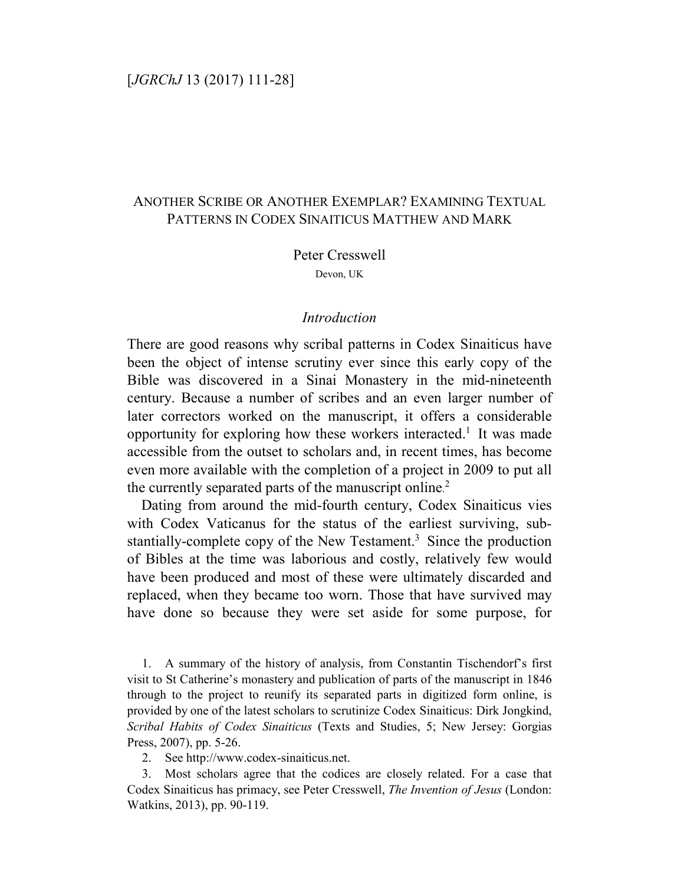# [*JGRChJ* 13 (2017) 111-28]

# ANOTHER SCRIBE OR ANOTHER EXEMPLAR? EXAMINING TEXTUAL PATTERNS IN CODEX SINAITICUS MATTHEW AND MARK

Peter Cresswell

Devon, UK

### *Introduction*

There are good reasons why scribal patterns in Codex Sinaiticus have been the object of intense scrutiny ever since this early copy of the Bible was discovered in a Sinai Monastery in the mid-nineteenth century. Because a number of scribes and an even larger number of later correctors worked on the manuscript, it offers a considerable opportunity for exploring how these workers interacted.<sup>1</sup> It was made accessible from the outset to scholars and, in recent times, has become even more available with the completion of a project in 2009 to put all the currently separated parts of the manuscript online.<sup>2</sup>

Dating from around the mid-fourth century, Codex Sinaiticus vies with Codex Vaticanus for the status of the earliest surviving, substantially-complete copy of the New Testament.<sup>3</sup> Since the production of Bibles at the time was laborious and costly, relatively few would have been produced and most of these were ultimately discarded and replaced, when they became too worn. Those that have survived may have done so because they were set aside for some purpose, for

1. A summary of the history of analysis, from Constantin Tischendorf's first visit to St Catherine's monastery and publication of parts of the manuscript in 1846 through to the project to reunify its separated parts in digitized form online, is provided by one of the latest scholars to scrutinize Codex Sinaiticus: Dirk Jongkind, *Scribal Habits of Codex Sinaiticus* (Texts and Studies, 5; New Jersey: Gorgias Press, 2007), pp. 5-26.

2. See http://www.codex-sinaiticus.net.

3. Most scholars agree that the codices are closely related. For a case that Codex Sinaiticus has primacy, see Peter Cresswell, *The Invention of Jesus* (London: Watkins, 2013), pp. 90-119.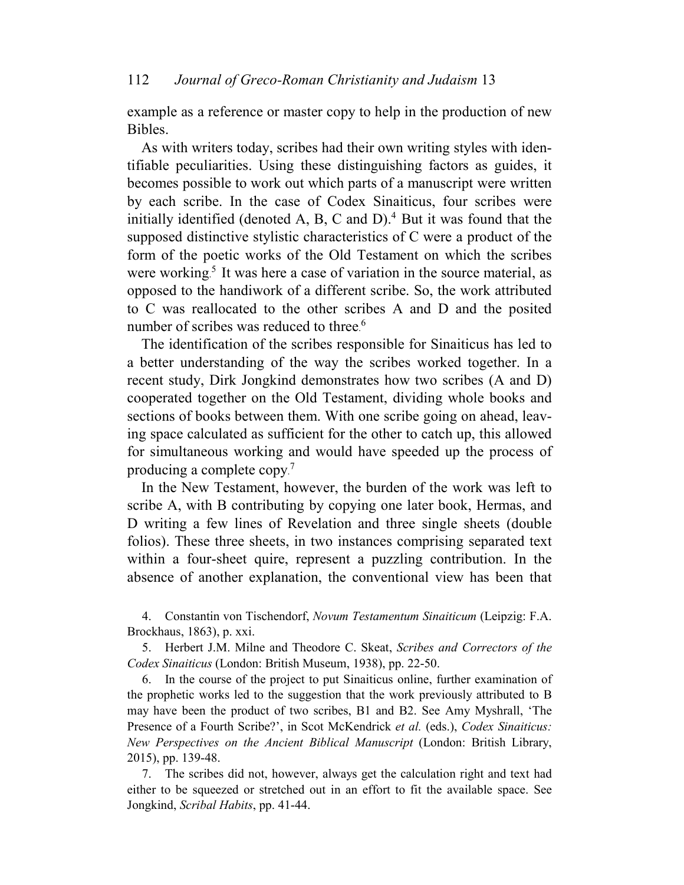example as a reference or master copy to help in the production of new Bibles.

As with writers today, scribes had their own writing styles with identifiable peculiarities. Using these distinguishing factors as guides, it becomes possible to work out which parts of a manuscript were written by each scribe. In the case of Codex Sinaiticus, four scribes were initially identified (denoted A, B, C and  $D$ ).<sup>4</sup> But it was found that the supposed distinctive stylistic characteristics of C were a product of the form of the poetic works of the Old Testament on which the scribes were working.<sup>5</sup> It was here a case of variation in the source material, as opposed to the handiwork of a different scribe. So, the work attributed to C was reallocated to the other scribes A and D and the posited number of scribes was reduced to three.<sup>6</sup>

The identification of the scribes responsible for Sinaiticus has led to a better understanding of the way the scribes worked together. In a recent study, Dirk Jongkind demonstrates how two scribes (A and D) cooperated together on the Old Testament, dividing whole books and sections of books between them. With one scribe going on ahead, leaving space calculated as sufficient for the other to catch up, this allowed for simultaneous working and would have speeded up the process of producing a complete copy. 7

In the New Testament, however, the burden of the work was left to scribe A, with B contributing by copying one later book, Hermas, and D writing a few lines of Revelation and three single sheets (double folios). These three sheets, in two instances comprising separated text within a four-sheet quire, represent a puzzling contribution. In the absence of another explanation, the conventional view has been that

4. Constantin von Tischendorf, *Novum Testamentum Sinaiticum* (Leipzig: F.A. Brockhaus, 1863), p. xxi.

5. Herbert J.M. Milne and Theodore C. Skeat, *Scribes and Correctors of the Codex Sinaiticus* (London: British Museum, 1938), pp. 22-50.

6. In the course of the project to put Sinaiticus online, further examination of the prophetic works led to the suggestion that the work previously attributed to B may have been the product of two scribes, B1 and B2. See Amy Myshrall, 'The Presence of a Fourth Scribe?', in Scot McKendrick *et al.* (eds.), *Codex Sinaiticus: New Perspectives on the Ancient Biblical Manuscript* (London: British Library, 2015), pp. 139-48.

7. The scribes did not, however, always get the calculation right and text had either to be squeezed or stretched out in an effort to fit the available space. See Jongkind, *Scribal Habits*, pp. 41-44.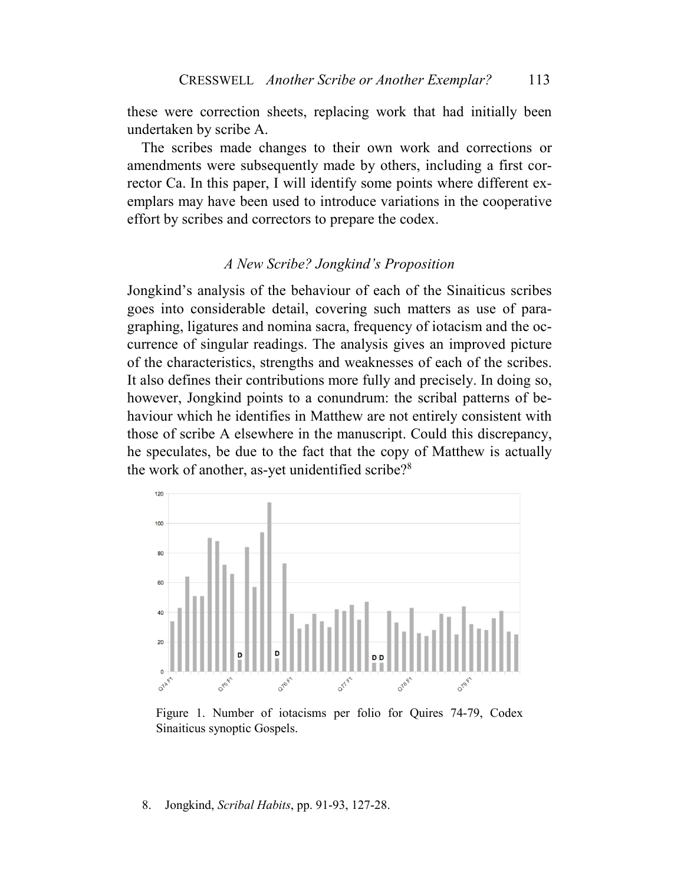these were correction sheets, replacing work that had initially been undertaken by scribe A.

The scribes made changes to their own work and corrections or amendments were subsequently made by others, including a first corrector Ca. In this paper, I will identify some points where different exemplars may have been used to introduce variations in the cooperative effort by scribes and correctors to prepare the codex.

### *A New Scribe? Jongkind's Proposition*

Jongkind's analysis of the behaviour of each of the Sinaiticus scribes goes into considerable detail, covering such matters as use of paragraphing, ligatures and nomina sacra, frequency of iotacism and the occurrence of singular readings. The analysis gives an improved picture of the characteristics, strengths and weaknesses of each of the scribes. It also defines their contributions more fully and precisely. In doing so, however, Jongkind points to a conundrum: the scribal patterns of behaviour which he identifies in Matthew are not entirely consistent with those of scribe A elsewhere in the manuscript. Could this discrepancy, he speculates, be due to the fact that the copy of Matthew is actually the work of another, as-yet unidentified scribe?<sup>8</sup>



Figure 1. Number of iotacisms per folio for Quires 74-79, Codex Sinaiticus synoptic Gospels.

#### 8. Jongkind, *Scribal Habits*, pp. 91-93, 127-28.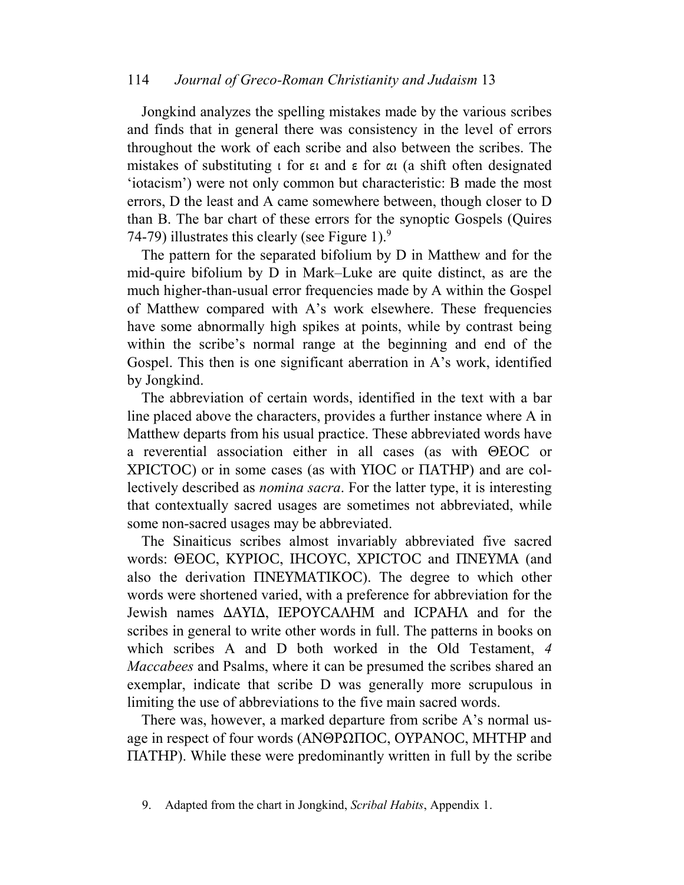Jongkind analyzes the spelling mistakes made by the various scribes and finds that in general there was consistency in the level of errors throughout the work of each scribe and also between the scribes. The mistakes of substituting  $\iota$  for  $\varepsilon \iota$  and  $\varepsilon$  for  $\alpha \iota$  (a shift often designated 'iotacism') were not only common but characteristic: B made the most errors, D the least and A came somewhere between, though closer to D than B. The bar chart of these errors for the synoptic Gospels (Quires 74-79) illustrates this clearly (see Figure 1).<sup>9</sup>

The pattern for the separated bifolium by D in Matthew and for the mid-quire bifolium by D in Mark–Luke are quite distinct, as are the much higher-than-usual error frequencies made by A within the Gospel of Matthew compared with A's work elsewhere. These frequencies have some abnormally high spikes at points, while by contrast being within the scribe's normal range at the beginning and end of the Gospel. This then is one significant aberration in A's work, identified by Jongkind.

The abbreviation of certain words, identified in the text with a bar line placed above the characters, provides a further instance where A in Matthew departs from his usual practice. These abbreviated words have a reverential association either in all cases (as with ΘΕOC or XPICTOC) or in some cases (as with YIOC or ΠATHP) and are collectively described as *nomina sacra*. For the latter type, it is interesting that contextually sacred usages are sometimes not abbreviated, while some non-sacred usages may be abbreviated.

The Sinaiticus scribes almost invariably abbreviated five sacred words: ΘΕOC, KYPIOC, IHCOYC, XPICTOC and ΠNEYMA (and also the derivation ΠNEYMATIKOC). The degree to which other words were shortened varied, with a preference for abbreviation for the Jewish names ∆AYI∆, IEPOYCAΛHM and ICPAHΛ and for the scribes in general to write other words in full. The patterns in books on which scribes A and D both worked in the Old Testament, *4 Maccabees* and Psalms, where it can be presumed the scribes shared an exemplar, indicate that scribe D was generally more scrupulous in limiting the use of abbreviations to the five main sacred words.

There was, however, a marked departure from scribe A's normal usage in respect of four words (ANΘΡΩΠΟC, OYPANOC, MHTHP and ΠATHP). While these were predominantly written in full by the scribe

<sup>9.</sup> Adapted from the chart in Jongkind, *Scribal Habits*, Appendix 1.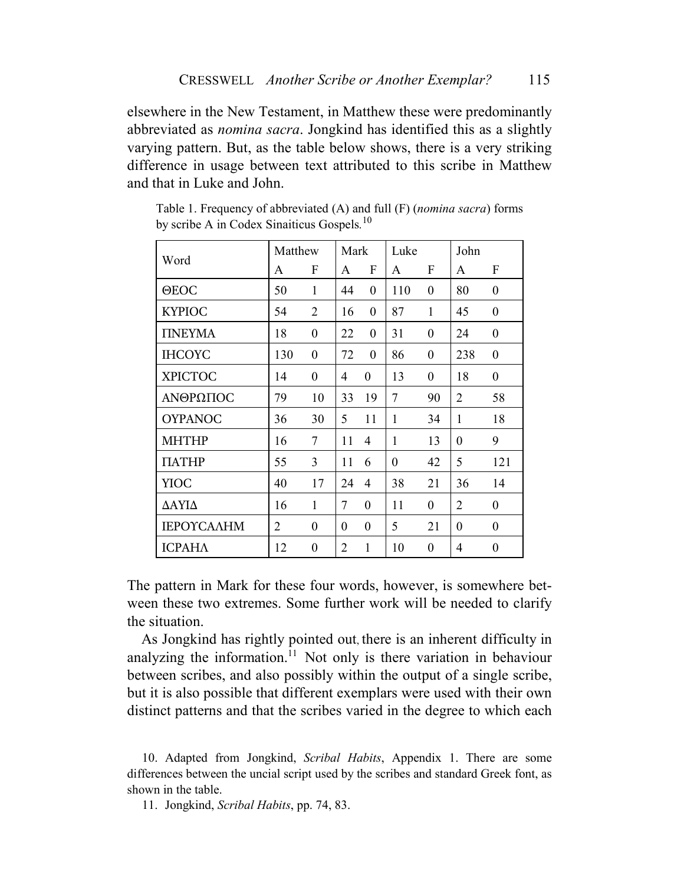elsewhere in the New Testament, in Matthew these were predominantly abbreviated as *nomina sacra*. Jongkind has identified this as a slightly varying pattern. But, as the table below shows, there is a very striking difference in usage between text attributed to this scribe in Matthew and that in Luke and John.

|                | Matthew        |                  | Mark           |                  | Luke           |                  | John             |                  |
|----------------|----------------|------------------|----------------|------------------|----------------|------------------|------------------|------------------|
| Word           | F<br>A<br>A    |                  | F              | A                | F              | A                | F                |                  |
| $\Theta$ EOC   | 50             | $\mathbf{1}$     | 44             | $\boldsymbol{0}$ | 110            | $\boldsymbol{0}$ | 80               | $\boldsymbol{0}$ |
| <b>KYPIOC</b>  | 54             | $\overline{2}$   | 16             | $\boldsymbol{0}$ | 87             | 1                | 45               | $\boldsymbol{0}$ |
| <b>TINEYMA</b> | 18             | $\boldsymbol{0}$ | 22             | $\boldsymbol{0}$ | 31             | $\boldsymbol{0}$ | 24               | $\boldsymbol{0}$ |
| <b>IHCOYC</b>  | 130            | $\overline{0}$   | 72             | $\theta$         | 86             | $\overline{0}$   | 238              | $\overline{0}$   |
| <b>XPICTOC</b> | 14             | $\theta$         | 4              | $\theta$         | 13             | $\overline{0}$   | 18               | $\boldsymbol{0}$ |
| ΑΝΘΡΩΠΟΣ       | 79             | 10               | 33             | 19               | 7              | 90               | $\overline{2}$   | 58               |
| <b>OYPANOC</b> | 36             | 30               | 5              | 11               | 1              | 34               | 1                | 18               |
| <b>MHTHP</b>   | 16             | 7                | 11             | 4                | 1              | 13               | $\boldsymbol{0}$ | 9                |
| <b>TIATHP</b>  | 55             | 3                | 11             | 6                | $\overline{0}$ | 42               | 5                | 121              |
| YIOC           | 40             | 17               | 24             | 4                | 38             | 21               | 36               | 14               |
| ΔΑΥΙΔ          | 16             | $\mathbf{1}$     | 7              | $\boldsymbol{0}$ | 11             | $\boldsymbol{0}$ | $\overline{2}$   | $\boldsymbol{0}$ |
| ΙΕΡΟΥΣΑΛΗΜ     | $\overline{2}$ | $\boldsymbol{0}$ | $\theta$       | $\boldsymbol{0}$ | 5              | 21               | $\overline{0}$   | $\boldsymbol{0}$ |
| <b>ICPAHA</b>  | 12             | $\overline{0}$   | $\overline{2}$ | $\mathbf{1}$     | 10             | $\boldsymbol{0}$ | 4                | $\overline{0}$   |

Table 1. Frequency of abbreviated (A) and full (F) (*nomina sacra*) forms by scribe A in Codex Sinaiticus Gospels*.* 10

The pattern in Mark for these four words, however, is somewhere between these two extremes. Some further work will be needed to clarify the situation.

As Jongkind has rightly pointed out, there is an inherent difficulty in analyzing the information.<sup>11</sup> Not only is there variation in behaviour between scribes, and also possibly within the output of a single scribe, but it is also possible that different exemplars were used with their own distinct patterns and that the scribes varied in the degree to which each

10. Adapted from Jongkind, *Scribal Habits*, Appendix 1. There are some differences between the uncial script used by the scribes and standard Greek font, as shown in the table.

11. Jongkind, *Scribal Habits*, pp. 74, 83.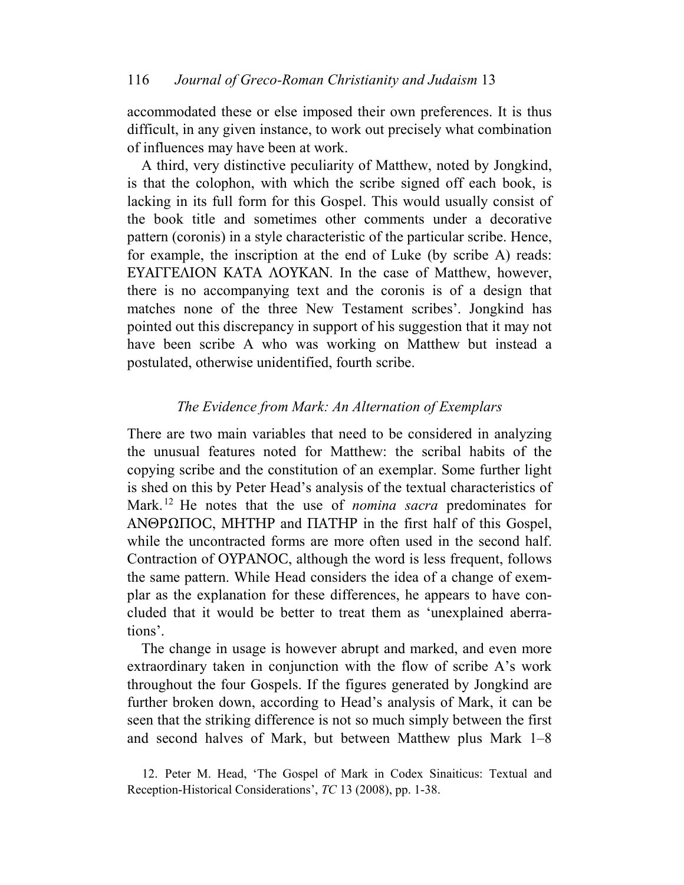accommodated these or else imposed their own preferences. It is thus difficult, in any given instance, to work out precisely what combination of influences may have been at work.

A third, very distinctive peculiarity of Matthew, noted by Jongkind, is that the colophon, with which the scribe signed off each book, is lacking in its full form for this Gospel. This would usually consist of the book title and sometimes other comments under a decorative pattern (coronis) in a style characteristic of the particular scribe. Hence, for example, the inscription at the end of Luke (by scribe A) reads: EYAΓΓEΛION KATA ΛOYKAN. In the case of Matthew, however, there is no accompanying text and the coronis is of a design that matches none of the three New Testament scribes'. Jongkind has pointed out this discrepancy in support of his suggestion that it may not have been scribe A who was working on Matthew but instead a postulated, otherwise unidentified, fourth scribe.

## *The Evidence from Mark: An Alternation of Exemplars*

There are two main variables that need to be considered in analyzing the unusual features noted for Matthew: the scribal habits of the copying scribe and the constitution of an exemplar. Some further light is shed on this by Peter Head's analysis of the textual characteristics of Mark.<sup>12</sup> He notes that the use of *nomina sacra* predominates for ANΘPΩΠOC, MHTHP and ΠATHP in the first half of this Gospel, while the uncontracted forms are more often used in the second half. Contraction of OYPANOC, although the word is less frequent, follows the same pattern. While Head considers the idea of a change of exemplar as the explanation for these differences, he appears to have concluded that it would be better to treat them as 'unexplained aberrations'.

The change in usage is however abrupt and marked, and even more extraordinary taken in conjunction with the flow of scribe A's work throughout the four Gospels. If the figures generated by Jongkind are further broken down, according to Head's analysis of Mark, it can be seen that the striking difference is not so much simply between the first and second halves of Mark, but between Matthew plus Mark 1–8

<sup>12.</sup> Peter M. Head, 'The Gospel of Mark in Codex Sinaiticus: Textual and Reception-Historical Considerations', *TC* 13 (2008), pp. 1-38.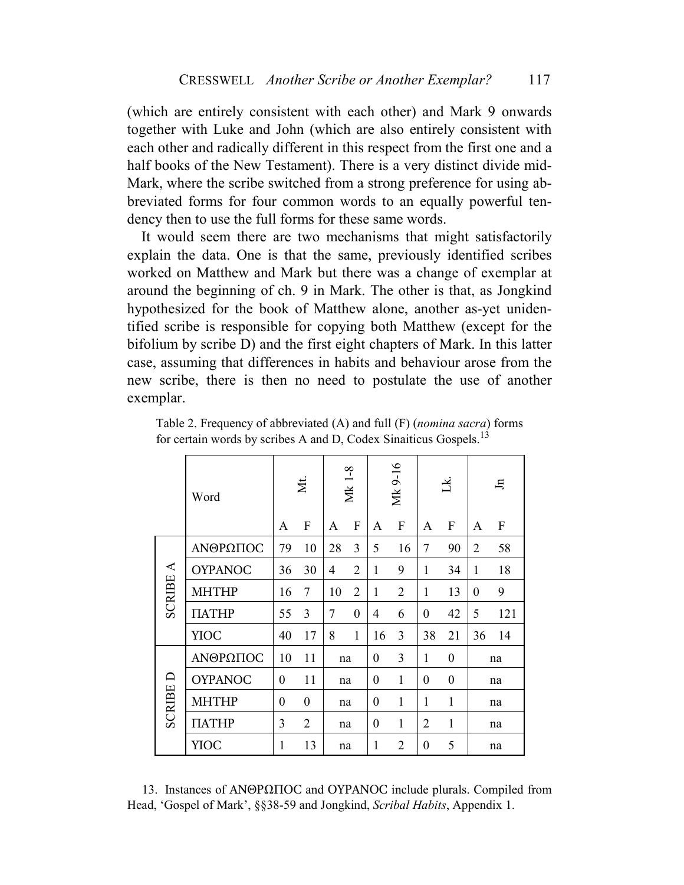(which are entirely consistent with each other) and Mark 9 onwards together with Luke and John (which are also entirely consistent with each other and radically different in this respect from the first one and a half books of the New Testament). There is a very distinct divide mid-Mark, where the scribe switched from a strong preference for using abbreviated forms for four common words to an equally powerful tendency then to use the full forms for these same words.

It would seem there are two mechanisms that might satisfactorily explain the data. One is that the same, previously identified scribes worked on Matthew and Mark but there was a change of exemplar at around the beginning of ch. 9 in Mark. The other is that, as Jongkind hypothesized for the book of Matthew alone, another as-yet unidentified scribe is responsible for copying both Matthew (except for the bifolium by scribe D) and the first eight chapters of Mark. In this latter case, assuming that differences in habits and behaviour arose from the new scribe, there is then no need to postulate the use of another exemplar.

|                 | Word           | Xt.            |                  | Mk 1-8 |                | Mk 9-16          |                  | ž              |                           | $\Xi$          |                           |
|-----------------|----------------|----------------|------------------|--------|----------------|------------------|------------------|----------------|---------------------------|----------------|---------------------------|
|                 |                | A              | $\boldsymbol{F}$ | A      | ${\bf F}$      | A                | $\boldsymbol{F}$ | A              | $\boldsymbol{\mathrm{F}}$ | A              | $\boldsymbol{\mathrm{F}}$ |
| <b>SCRIBE A</b> | ΑΝΘΡΩΠΟΣ       | 79             | 10               | 28     | 3              | 5                | 16               | 7              | 90                        | $\overline{2}$ | 58                        |
|                 | <b>OYPANOC</b> | 36             | 30               | 4      | $\overline{2}$ | $\mathbf{1}$     | 9                | $\mathbf{1}$   | 34                        | 1              | 18                        |
|                 | <b>MHTHP</b>   | 16             | 7                | 10     | $\overline{2}$ | $\mathbf{1}$     | $\overline{2}$   | $\mathbf{1}$   | 13                        | $\theta$       | 9                         |
|                 | <b>TIATHP</b>  | 55             | 3                | 7      | $\mathbf{0}$   | 4                | 6                | $\overline{0}$ | 42                        | 5              | 121                       |
|                 | <b>YIOC</b>    | 40             | 17               | 8      | $\mathbf{1}$   | 16               | 3                | 38             | 21                        | 36             | 14                        |
|                 | ΑΝΘΡΩΠΟΣ       | 10             | 11               | na     |                | $\boldsymbol{0}$ | 3                | 1              | $\overline{0}$            | na             |                           |
| <b>SCRIBE D</b> | <b>OYPANOC</b> | $\overline{0}$ | 11               | na     |                | $\theta$         | 1                | $\overline{0}$ | $\boldsymbol{0}$          | na             |                           |
|                 | <b>MHTHP</b>   | $\overline{0}$ | $\boldsymbol{0}$ | na     |                | $\boldsymbol{0}$ | 1                | 1              | $\mathbf{1}$              | na             |                           |
|                 | <b>TIATHP</b>  | 3              | $\overline{2}$   | na     |                | $\theta$         | $\mathbf{1}$     | $\overline{2}$ | $\mathbf{1}$              | na             |                           |
|                 | YIOC           | 1              | 13               | na     |                | 1                | $\overline{2}$   | $\overline{0}$ | 5                         | na             |                           |

Table 2. Frequency of abbreviated (A) and full (F) (*nomina sacra*) forms for certain words by scribes A and D, Codex Sinaiticus Gospels.<sup>13</sup>

13. Instances of ANΘPΩΠOC and OYPANOC include plurals. Compiled from Head, 'Gospel of Mark', §§38-59 and Jongkind, *Scribal Habits*, Appendix 1.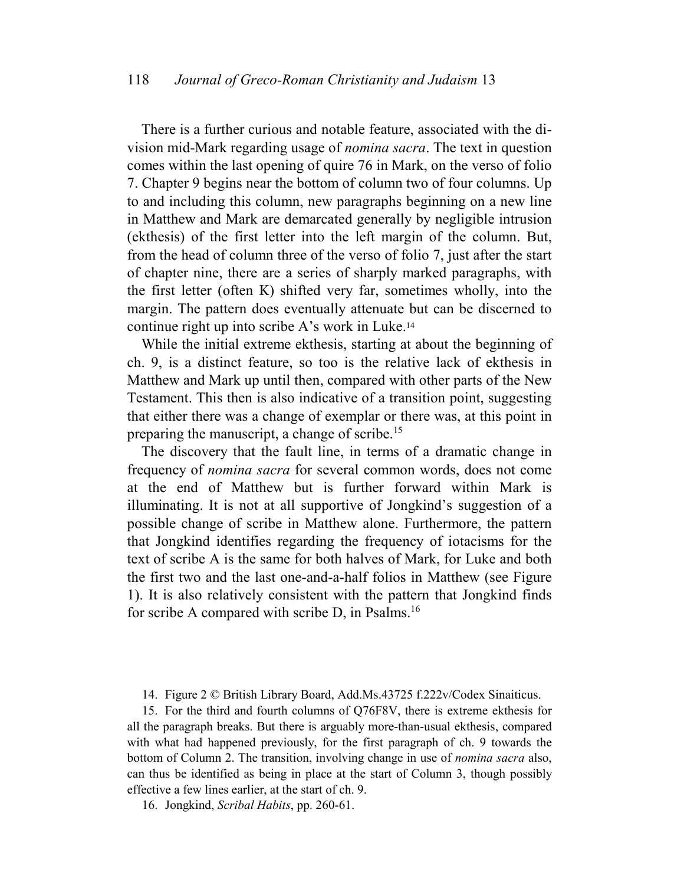There is a further curious and notable feature, associated with the division mid-Mark regarding usage of *nomina sacra*. The text in question comes within the last opening of quire 76 in Mark, on the verso of folio 7. Chapter 9 begins near the bottom of column two of four columns. Up to and including this column, new paragraphs beginning on a new line in Matthew and Mark are demarcated generally by negligible intrusion (ekthesis) of the first letter into the left margin of the column. But, from the head of column three of the verso of folio 7, just after the start of chapter nine, there are a series of sharply marked paragraphs, with the first letter (often K) shifted very far, sometimes wholly, into the margin. The pattern does eventually attenuate but can be discerned to continue right up into scribe A's work in Luke.<sup>14</sup>

While the initial extreme ekthesis, starting at about the beginning of ch. 9, is a distinct feature, so too is the relative lack of ekthesis in Matthew and Mark up until then, compared with other parts of the New Testament. This then is also indicative of a transition point, suggesting that either there was a change of exemplar or there was, at this point in preparing the manuscript, a change of scribe.<sup>15</sup>

The discovery that the fault line, in terms of a dramatic change in frequency of *nomina sacra* for several common words, does not come at the end of Matthew but is further forward within Mark is illuminating. It is not at all supportive of Jongkind's suggestion of a possible change of scribe in Matthew alone. Furthermore, the pattern that Jongkind identifies regarding the frequency of iotacisms for the text of scribe A is the same for both halves of Mark, for Luke and both the first two and the last one-and-a-half folios in Matthew (see Figure 1). It is also relatively consistent with the pattern that Jongkind finds for scribe A compared with scribe D, in Psalms.<sup>16</sup>

14. Figure 2 © British Library Board, Add.Ms.43725 f.222v/Codex Sinaiticus.

15. For the third and fourth columns of Q76F8V, there is extreme ekthesis for all the paragraph breaks. But there is arguably more-than-usual ekthesis, compared with what had happened previously, for the first paragraph of ch. 9 towards the bottom of Column 2. The transition, involving change in use of *nomina sacra* also, can thus be identified as being in place at the start of Column 3, though possibly effective a few lines earlier, at the start of ch. 9.

16. Jongkind, *Scribal Habits*, pp. 260-61.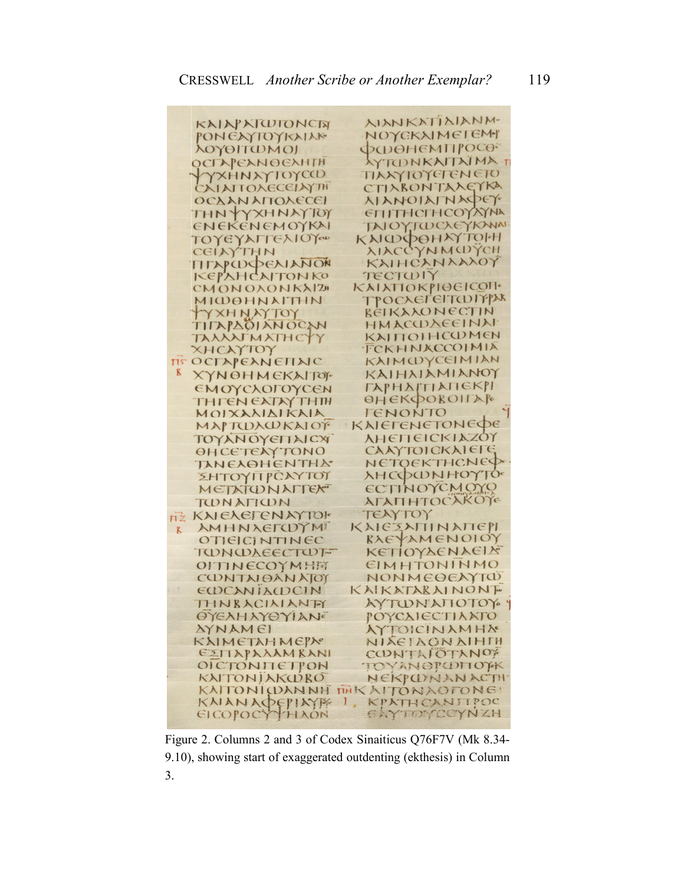|              | KAIN AIWIONCIN                  | <b>AIANKATIAIANM-</b>           |
|--------------|---------------------------------|---------------------------------|
|              | PONEXYTOYKAIAK                  | NOYCKXIMEIEM                    |
|              | λογοιτωΜοι                      | ФФӨНЕМПРОСО-                    |
|              | OCTAPEANOEXHTH                  | <b>AYTONKAITAIMAT</b>           |
|              | YYXHNAYTOYCO                    | TIAXYIOYETENETO                 |
|              | CAIAITOXECEIAYTH                | CTIXBONTAXEYKA                  |
|              |                                 | <b>XIANOIATNAPEY</b>            |
|              | <b>ΟΣΧΑΝ ΑΠΟΛΕΣΕΙ</b>           |                                 |
|              | THNYYXHNAYTOY                   | <b>ЕПІТНСГНСОУДУМА</b>          |
|              | ENEKENEMOYKAI                   | TAJOY, TWCXEYKANAI:             |
|              | ΤΟΥΕΥΑΓΓΕλΙΟΥ                   | КАЮФОНАУТОНН                    |
|              | CEINYTHN                        | XIACCYNMWYCH                    |
|              | TITAPWOCAIANON                  | KAIHCANAAAOY                    |
|              | KEPAHCAITONKO                   | TECTWIY                         |
|              | CMONOXONKAIZH                   | ΚΑΙΑΠΟΚΡΙΘΕΙΣΩΙΙ                |
|              | МІШӨННАІТНН                     | <b>ΤΡΟΣΧΕΓΕΙΤΩΠΥΙΣΚ</b>         |
|              | TYXHNAYTOY                      | BEIKAAONECTIN                   |
|              | TITAPAOIANOCAN                  | ΗΜΑΣΟΣΛΕΕΙΝΑΙ                   |
|              | TAAAATMATHCYY                   | KAITIOIHCOMEN                   |
|              | XHCAYTOY                        | FCKHNACCOIMIA                   |
|              | TS OCTAPEANETIAIC               | KAIMUYCEIMIAN                   |
| K            | ХҮНӨНМЕКАПОЕ                    | KAIHAIAMIANOY                   |
|              | <b>ЕМОҮСЛОГОҮСЕН</b>            | ГАРНАГПАПЕКРІ                   |
|              | <b>ТНГЄН ЄХТАУ ТНІН</b>         | ӨНЕКФОВОПАР                     |
|              | MOIXAXIAIKAIA                   | TENONTO                         |
|              | MAPTOXOKAIOT                    | KAIETENETONEDE                  |
|              | ΤΟΥλΝΟΥΘΠΑΙΟΧ                   | <b>ΛΗΕΠΕΙΣΚΙΑΖΟΥ</b>            |
|              | <b>ӨНСЕТЕЛУ ТОМО</b>            | CAAYTOICKAIEFE                  |
|              | ΤΑΝΕΛΘΗΕΝΤΗΔ                    | NETOEKTHCNED                    |
|              | ΣΗΤΟΥΠΡΟΑΥΤΟΊ                   | <b>AHCOCONHOYTO-</b>            |
|              | <b>METATONALLEY</b>             | ECTINOYCMOYO                    |
|              | TUNATION                        | <b>АГАПНТОСАКОТе</b>            |
| īŻ           | KAIEAETENAYTOF                  | TEAYTOY                         |
| $\mathbf{K}$ | <b>AMHNAETOYM</b>               | КАІЄЗАПІНАПЕРІ                  |
|              | OTIEICINTINEC                   | KAEYAMENOIOY                    |
|              | TUNUAEECTUT-                    | ΚΕΤΙΟΥΔΕΝΑΕΙΣ                   |
|              | OITINECOYMHET                   | EIMHTONINMO                     |
|              | <b>CONTAIOAN ATOT</b>           | NONMEOEAYTW                     |
|              | EDCANIADCIN                     | KAIKATARAINONT                  |
|              | THNBACILIANTY                   | AYTONATIOTOY 4                  |
|              | OYEXHAYOYIANE                   | <b><i>POYCAIECTIANTO</i></b>    |
|              | <b><i>AYNAMEI</i></b>           |                                 |
|              |                                 | AYTOICINAMHA                    |
|              | КАІМЕТАНМЕРА                    | NIXEIAONAIHTH                   |
|              | EZITAPAAAMKANI<br>OICTONITETPON | CONTAIOTANOF<br>TOYANOPUDITOYK  |
|              | KAITONIAKWRO                    | NEKPONANACTH                    |
|              |                                 | KAITONICDANNH TTHK AITONAOFONE! |
|              | KAIANAPEPIAYE                   | $\mathbf{1}$ ,<br>KPATHCANITPOC |
|              | EICOPOCYTHAON                   | EXYTOYCOYNZH                    |
|              |                                 |                                 |

Figure 2. Columns 2 and 3 of Codex Sinaiticus Q76F7V (Mk 8.34- 9.10), showing start of exaggerated outdenting (ekthesis) in Column 3.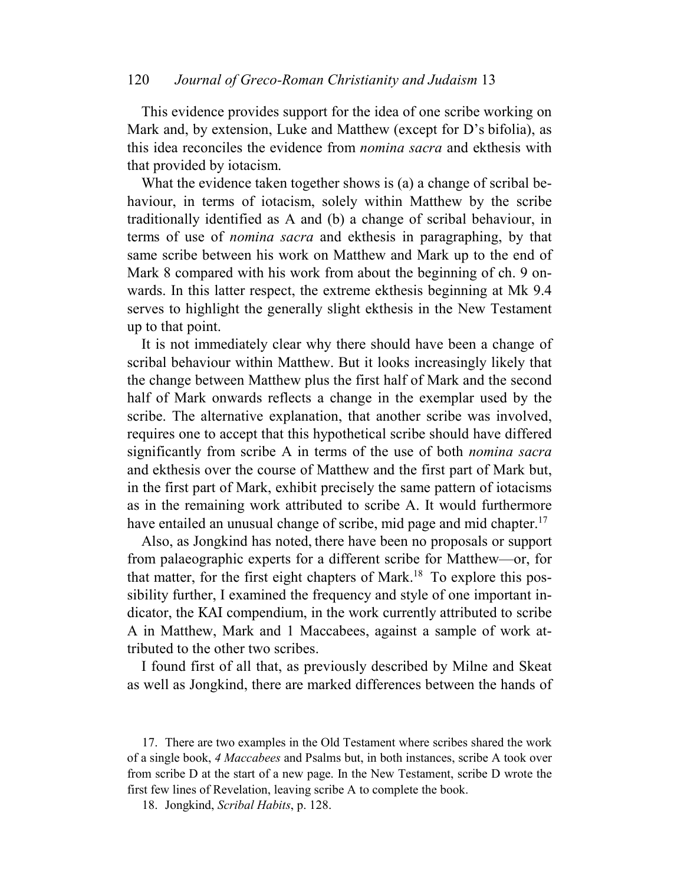This evidence provides support for the idea of one scribe working on Mark and, by extension, Luke and Matthew (except for D's bifolia), as this idea reconciles the evidence from *nomina sacra* and ekthesis with that provided by iotacism.

What the evidence taken together shows is (a) a change of scribal behaviour, in terms of iotacism, solely within Matthew by the scribe traditionally identified as A and (b) a change of scribal behaviour, in terms of use of *nomina sacra* and ekthesis in paragraphing, by that same scribe between his work on Matthew and Mark up to the end of Mark 8 compared with his work from about the beginning of ch. 9 onwards. In this latter respect, the extreme ekthesis beginning at Mk 9.4 serves to highlight the generally slight ekthesis in the New Testament up to that point.

It is not immediately clear why there should have been a change of scribal behaviour within Matthew. But it looks increasingly likely that the change between Matthew plus the first half of Mark and the second half of Mark onwards reflects a change in the exemplar used by the scribe. The alternative explanation, that another scribe was involved, requires one to accept that this hypothetical scribe should have differed significantly from scribe A in terms of the use of both *nomina sacra* and ekthesis over the course of Matthew and the first part of Mark but, in the first part of Mark, exhibit precisely the same pattern of iotacisms as in the remaining work attributed to scribe A. It would furthermore have entailed an unusual change of scribe, mid page and mid chapter.<sup>17</sup>

Also, as Jongkind has noted, there have been no proposals or support from palaeographic experts for a different scribe for Matthew—or, for that matter, for the first eight chapters of Mark.<sup>18</sup> To explore this possibility further, I examined the frequency and style of one important indicator, the KAI compendium, in the work currently attributed to scribe A in Matthew, Mark and 1 Maccabees, against a sample of work attributed to the other two scribes.

I found first of all that, as previously described by Milne and Skeat as well as Jongkind, there are marked differences between the hands of

18. Jongkind, *Scribal Habits*, p. 128.

<sup>17.</sup> There are two examples in the Old Testament where scribes shared the work of a single book, *4 Maccabees* and Psalms but, in both instances, scribe A took over from scribe D at the start of a new page. In the New Testament, scribe D wrote the first few lines of Revelation, leaving scribe A to complete the book.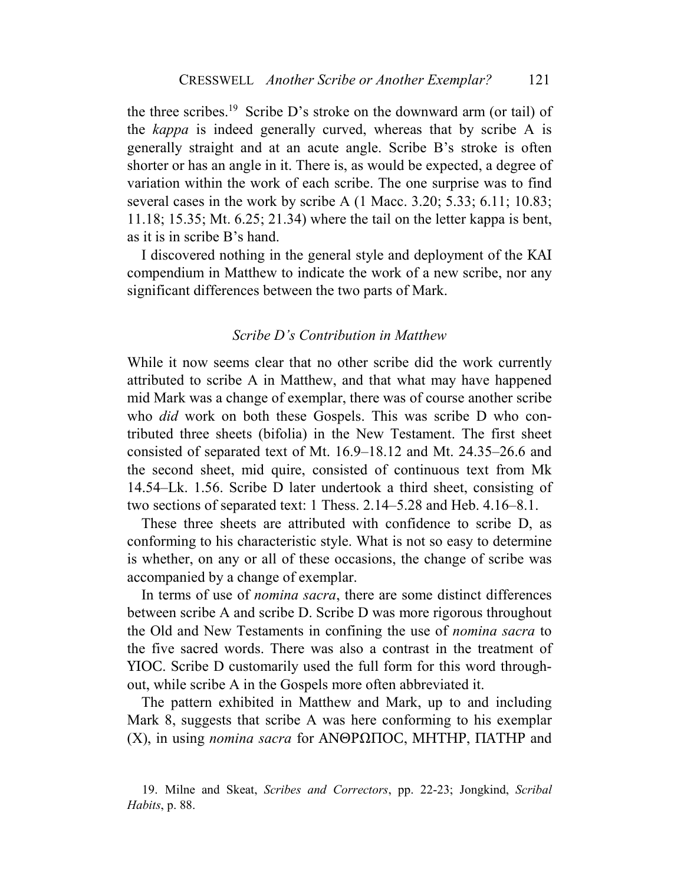the three scribes.<sup>19</sup> Scribe D's stroke on the downward arm (or tail) of the *kappa* is indeed generally curved, whereas that by scribe A is generally straight and at an acute angle. Scribe B's stroke is often shorter or has an angle in it. There is, as would be expected, a degree of variation within the work of each scribe. The one surprise was to find several cases in the work by scribe A (1 Macc. 3.20; 5.33; 6.11; 10.83; 11.18; 15.35; Mt. 6.25; 21.34) where the tail on the letter kappa is bent, as it is in scribe B's hand.

I discovered nothing in the general style and deployment of the KAI compendium in Matthew to indicate the work of a new scribe, nor any significant differences between the two parts of Mark.

#### *Scribe D's Contribution in Matthew*

While it now seems clear that no other scribe did the work currently attributed to scribe A in Matthew, and that what may have happened mid Mark was a change of exemplar, there was of course another scribe who *did* work on both these Gospels. This was scribe D who contributed three sheets (bifolia) in the New Testament. The first sheet consisted of separated text of Mt. 16.9–18.12 and Mt. 24.35–26.6 and the second sheet, mid quire, consisted of continuous text from Mk 14.54–Lk. 1.56. Scribe D later undertook a third sheet, consisting of two sections of separated text: 1 Thess. 2.14–5.28 and Heb. 4.16–8.1.

These three sheets are attributed with confidence to scribe D, as conforming to his characteristic style. What is not so easy to determine is whether, on any or all of these occasions, the change of scribe was accompanied by a change of exemplar.

In terms of use of *nomina sacra*, there are some distinct differences between scribe A and scribe D. Scribe D was more rigorous throughout the Old and New Testaments in confining the use of *nomina sacra* to the five sacred words. There was also a contrast in the treatment of YIOC. Scribe D customarily used the full form for this word throughout, while scribe A in the Gospels more often abbreviated it.

The pattern exhibited in Matthew and Mark, up to and including Mark 8, suggests that scribe A was here conforming to his exemplar (X), in using *nomina sacra* for ANΘPΩΠOC, MHTHP, ΠATHP and

<sup>19.</sup> Milne and Skeat, *Scribes and Correctors*, pp. 22-23; Jongkind, *Scribal Habits*, p. 88.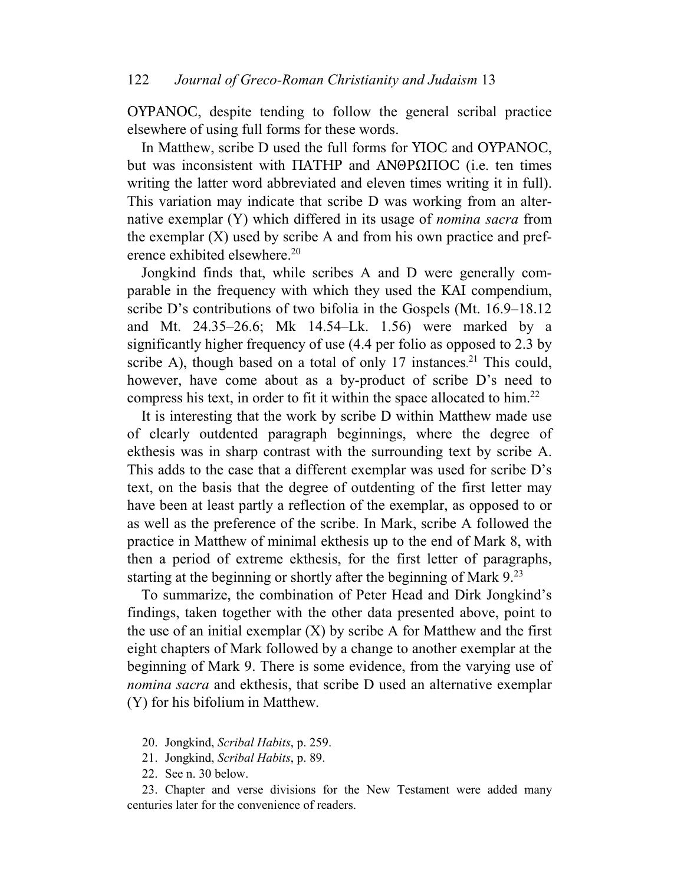OYPANOC, despite tending to follow the general scribal practice elsewhere of using full forms for these words.

In Matthew, scribe D used the full forms for YIOC and ΟYPANOC, but was inconsistent with ΠATHP and ANΘPΩΠOC (i.e. ten times writing the latter word abbreviated and eleven times writing it in full). This variation may indicate that scribe D was working from an alternative exemplar (Y) which differed in its usage of *nomina sacra* from the exemplar  $(X)$  used by scribe A and from his own practice and preference exhibited elsewhere.<sup>20</sup>

Jongkind finds that, while scribes A and D were generally comparable in the frequency with which they used the KAI compendium, scribe D's contributions of two bifolia in the Gospels (Mt. 16.9–18.12 and Mt. 24.35–26.6; Mk 14.54–Lk. 1.56) were marked by a significantly higher frequency of use (4.4 per folio as opposed to 2.3 by scribe A), though based on a total of only 17 instances.<sup>21</sup> This could, however, have come about as a by-product of scribe D's need to compress his text, in order to fit it within the space allocated to him.<sup>22</sup>

It is interesting that the work by scribe D within Matthew made use of clearly outdented paragraph beginnings, where the degree of ekthesis was in sharp contrast with the surrounding text by scribe A. This adds to the case that a different exemplar was used for scribe D's text, on the basis that the degree of outdenting of the first letter may have been at least partly a reflection of the exemplar, as opposed to or as well as the preference of the scribe. In Mark, scribe A followed the practice in Matthew of minimal ekthesis up to the end of Mark 8, with then a period of extreme ekthesis, for the first letter of paragraphs, starting at the beginning or shortly after the beginning of Mark 9.<sup>23</sup>

To summarize, the combination of Peter Head and Dirk Jongkind's findings, taken together with the other data presented above, point to the use of an initial exemplar  $(X)$  by scribe A for Matthew and the first eight chapters of Mark followed by a change to another exemplar at the beginning of Mark 9. There is some evidence, from the varying use of *nomina sacra* and ekthesis, that scribe D used an alternative exemplar (Y) for his bifolium in Matthew.

- 20. Jongkind, *Scribal Habits*, p. 259.
- 21. Jongkind, *Scribal Habits*, p. 89.
- 22. See n. 30 below.

23. Chapter and verse divisions for the New Testament were added many centuries later for the convenience of readers.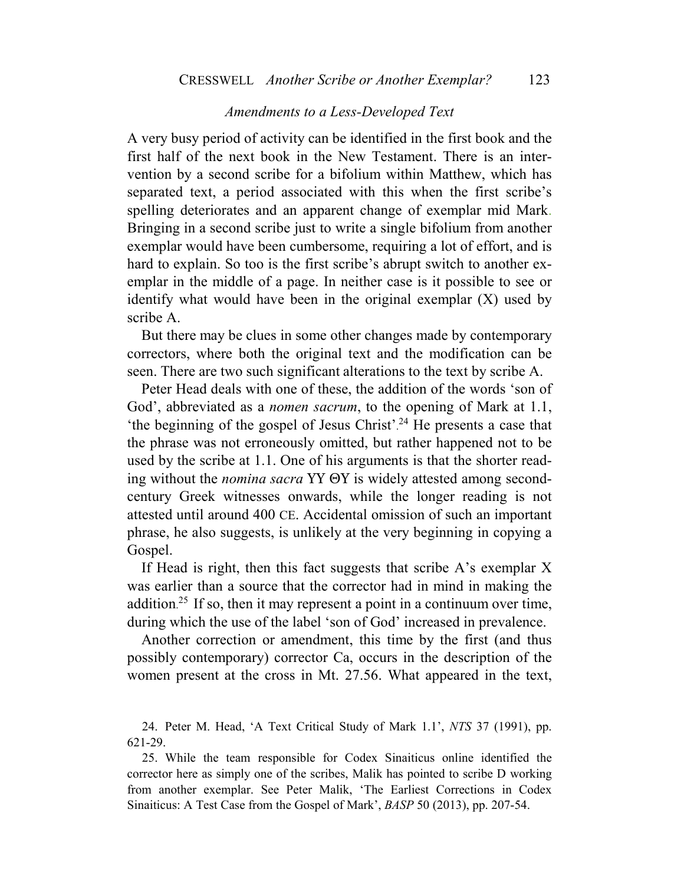### *Amendments to a Less-Developed Text*

A very busy period of activity can be identified in the first book and the first half of the next book in the New Testament. There is an intervention by a second scribe for a bifolium within Matthew, which has separated text, a period associated with this when the first scribe's spelling deteriorates and an apparent change of exemplar mid Mark. Bringing in a second scribe just to write a single bifolium from another exemplar would have been cumbersome, requiring a lot of effort, and is hard to explain. So too is the first scribe's abrupt switch to another exemplar in the middle of a page. In neither case is it possible to see or identify what would have been in the original exemplar (X) used by scribe A.

But there may be clues in some other changes made by contemporary correctors, where both the original text and the modification can be seen. There are two such significant alterations to the text by scribe A.

Peter Head deals with one of these, the addition of the words 'son of God', abbreviated as a *nomen sacrum*, to the opening of Mark at 1.1, 'the beginning of the gospel of Jesus Christ'. <sup>24</sup> He presents a case that the phrase was not erroneously omitted, but rather happened not to be used by the scribe at 1.1. One of his arguments is that the shorter reading without the *nomina sacra* YY ΘY is widely attested among secondcentury Greek witnesses onwards, while the longer reading is not attested until around 400 CE. Accidental omission of such an important phrase, he also suggests, is unlikely at the very beginning in copying a Gospel.

If Head is right, then this fact suggests that scribe A's exemplar X was earlier than a source that the corrector had in mind in making the addition. <sup>25</sup> If so, then it may represent a point in a continuum over time, during which the use of the label 'son of God' increased in prevalence.

Another correction or amendment, this time by the first (and thus possibly contemporary) corrector Ca, occurs in the description of the women present at the cross in Mt. 27.56. What appeared in the text,

24. Peter M. Head, 'A Text Critical Study of Mark 1.1', *NTS* 37 (1991), pp. 621-29.

25. While the team responsible for Codex Sinaiticus online identified the corrector here as simply one of the scribes, Malik has pointed to scribe D working from another exemplar. See Peter Malik, 'The Earliest Corrections in Codex Sinaiticus: A Test Case from the Gospel of Mark', *BASP* 50 (2013), pp. 207-54.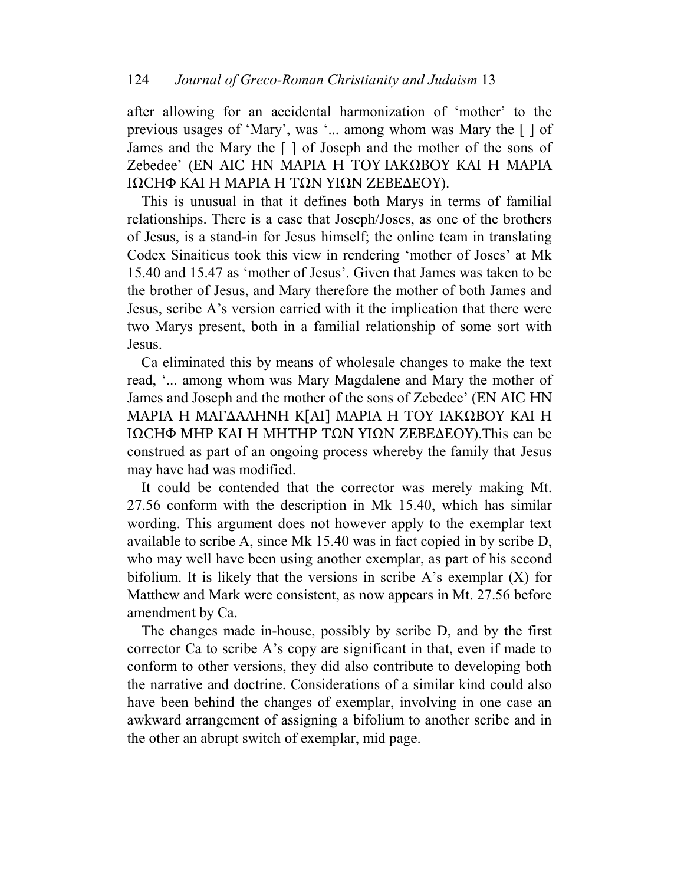after allowing for an accidental harmonization of 'mother' to the previous usages of 'Mary', was '... among whom was Mary the [ ] of James and the Mary the [ ] of Joseph and the mother of the sons of Zebedee' (EN AIC HN MAPIA H TOY IAKΩBOY KAI H MAPIA IΩCHΦ KAI H MAPIA H TΩN YIΩN ZEBE∆EOY).

This is unusual in that it defines both Marys in terms of familial relationships. There is a case that Joseph/Joses, as one of the brothers of Jesus, is a stand-in for Jesus himself; the online team in translating Codex Sinaiticus took this view in rendering 'mother of Joses' at Mk 15.40 and 15.47 as 'mother of Jesus'. Given that James was taken to be the brother of Jesus, and Mary therefore the mother of both James and Jesus, scribe A's version carried with it the implication that there were two Marys present, both in a familial relationship of some sort with Jesus.

Ca eliminated this by means of wholesale changes to make the text read, '... among whom was Mary Magdalene and Mary the mother of James and Joseph and the mother of the sons of Zebedee' (EN AIC HN MAPIA H MAΓ∆AΛHNH K[AI] MAPIA H TOY IAKΩBOY KAI H IΩCHΦ MHP KAI H MHTHP TΩN YIΩN ZEBE∆EOY).This can be construed as part of an ongoing process whereby the family that Jesus may have had was modified.

It could be contended that the corrector was merely making Mt. 27.56 conform with the description in Mk 15.40, which has similar wording. This argument does not however apply to the exemplar text available to scribe A, since Mk 15.40 was in fact copied in by scribe D, who may well have been using another exemplar, as part of his second bifolium. It is likely that the versions in scribe A's exemplar (X) for Matthew and Mark were consistent, as now appears in Mt. 27.56 before amendment by Ca.

The changes made in-house, possibly by scribe D, and by the first corrector Ca to scribe A's copy are significant in that, even if made to conform to other versions, they did also contribute to developing both the narrative and doctrine. Considerations of a similar kind could also have been behind the changes of exemplar, involving in one case an awkward arrangement of assigning a bifolium to another scribe and in the other an abrupt switch of exemplar, mid page.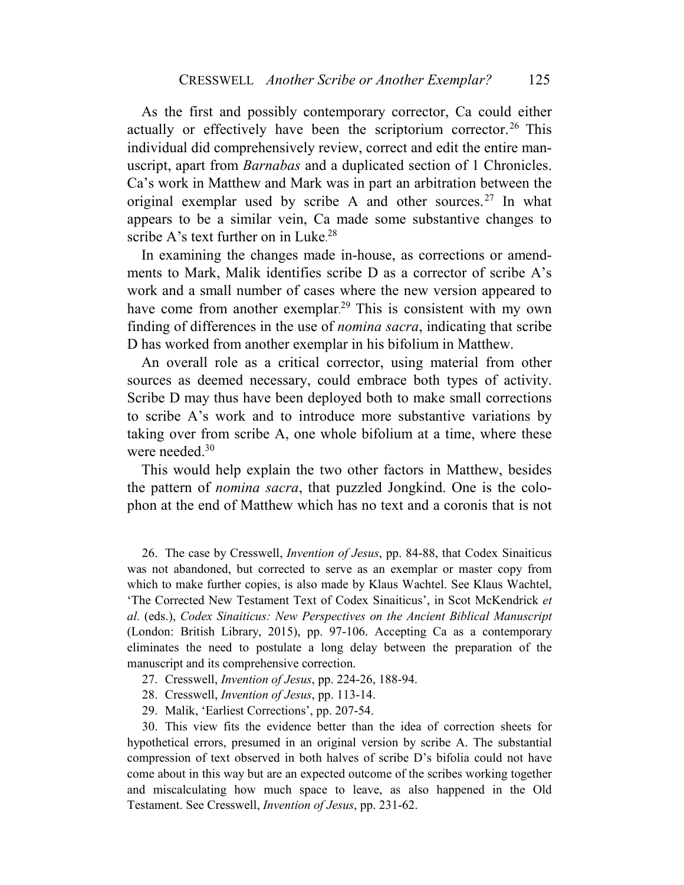As the first and possibly contemporary corrector, Ca could either actually or effectively have been the scriptorium corrector.<sup>26</sup> This individual did comprehensively review, correct and edit the entire manuscript, apart from *Barnabas* and a duplicated section of 1 Chronicles. Ca's work in Matthew and Mark was in part an arbitration between the original exemplar used by scribe A and other sources.<sup>27</sup> In what appears to be a similar vein, Ca made some substantive changes to scribe A's text further on in Luke.<sup>28</sup>

In examining the changes made in-house, as corrections or amendments to Mark, Malik identifies scribe D as a corrector of scribe A's work and a small number of cases where the new version appeared to have come from another exemplar.<sup>29</sup> This is consistent with my own finding of differences in the use of *nomina sacra*, indicating that scribe D has worked from another exemplar in his bifolium in Matthew.

An overall role as a critical corrector, using material from other sources as deemed necessary, could embrace both types of activity. Scribe D may thus have been deployed both to make small corrections to scribe A's work and to introduce more substantive variations by taking over from scribe A, one whole bifolium at a time, where these were needed.<sup>30</sup>

This would help explain the two other factors in Matthew, besides the pattern of *nomina sacra*, that puzzled Jongkind. One is the colophon at the end of Matthew which has no text and a coronis that is not

26. The case by Cresswell, *Invention of Jesus*, pp. 84-88, that Codex Sinaiticus was not abandoned, but corrected to serve as an exemplar or master copy from which to make further copies, is also made by Klaus Wachtel. See Klaus Wachtel, 'The Corrected New Testament Text of Codex Sinaiticus', in Scot McKendrick *et al.* (eds.), *Codex Sinaiticus: New Perspectives on the Ancient Biblical Manuscript* (London: British Library, 2015), pp. 97-106. Accepting Ca as a contemporary eliminates the need to postulate a long delay between the preparation of the manuscript and its comprehensive correction.

- 27. Cresswell, *Invention of Jesus*, pp. 224-26, 188-94.
- 28. Cresswell, *Invention of Jesus*, pp. 113-14.
- 29. Malik, 'Earliest Corrections', pp. 207-54.

30. This view fits the evidence better than the idea of correction sheets for hypothetical errors, presumed in an original version by scribe A. The substantial compression of text observed in both halves of scribe D's bifolia could not have come about in this way but are an expected outcome of the scribes working together and miscalculating how much space to leave, as also happened in the Old Testament. See Cresswell, *Invention of Jesus*, pp. 231-62.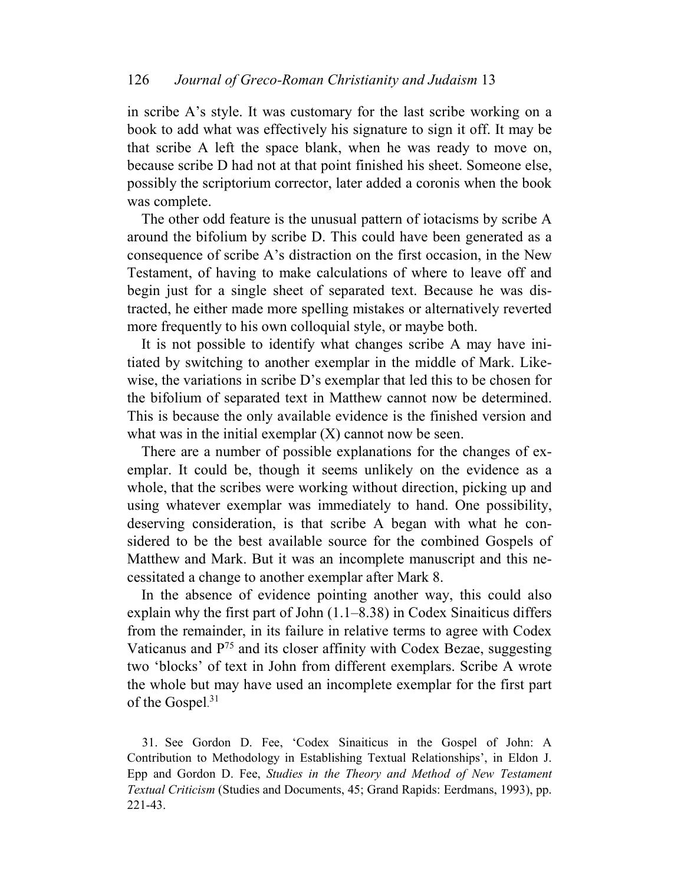in scribe A's style. It was customary for the last scribe working on a book to add what was effectively his signature to sign it off. It may be that scribe A left the space blank, when he was ready to move on, because scribe D had not at that point finished his sheet. Someone else, possibly the scriptorium corrector, later added a coronis when the book was complete.

The other odd feature is the unusual pattern of iotacisms by scribe A around the bifolium by scribe D. This could have been generated as a consequence of scribe A's distraction on the first occasion, in the New Testament, of having to make calculations of where to leave off and begin just for a single sheet of separated text. Because he was distracted, he either made more spelling mistakes or alternatively reverted more frequently to his own colloquial style, or maybe both.

It is not possible to identify what changes scribe A may have initiated by switching to another exemplar in the middle of Mark. Likewise, the variations in scribe D's exemplar that led this to be chosen for the bifolium of separated text in Matthew cannot now be determined. This is because the only available evidence is the finished version and what was in the initial exemplar  $(X)$  cannot now be seen.

There are a number of possible explanations for the changes of exemplar. It could be, though it seems unlikely on the evidence as a whole, that the scribes were working without direction, picking up and using whatever exemplar was immediately to hand. One possibility, deserving consideration, is that scribe A began with what he considered to be the best available source for the combined Gospels of Matthew and Mark. But it was an incomplete manuscript and this necessitated a change to another exemplar after Mark 8.

In the absence of evidence pointing another way, this could also explain why the first part of John (1.1–8.38) in Codex Sinaiticus differs from the remainder, in its failure in relative terms to agree with Codex Vaticanus and P<sup>75</sup> and its closer affinity with Codex Bezae, suggesting two 'blocks' of text in John from different exemplars. Scribe A wrote the whole but may have used an incomplete exemplar for the first part of the Gospel.<sup>31</sup>

31. See Gordon D. Fee, 'Codex Sinaiticus in the Gospel of John: A Contribution to Methodology in Establishing Textual Relationships', in Eldon J. Epp and Gordon D. Fee, *Studies in the Theory and Method of New Testament Textual Criticism* (Studies and Documents, 45; Grand Rapids: Eerdmans, 1993), pp. 221-43.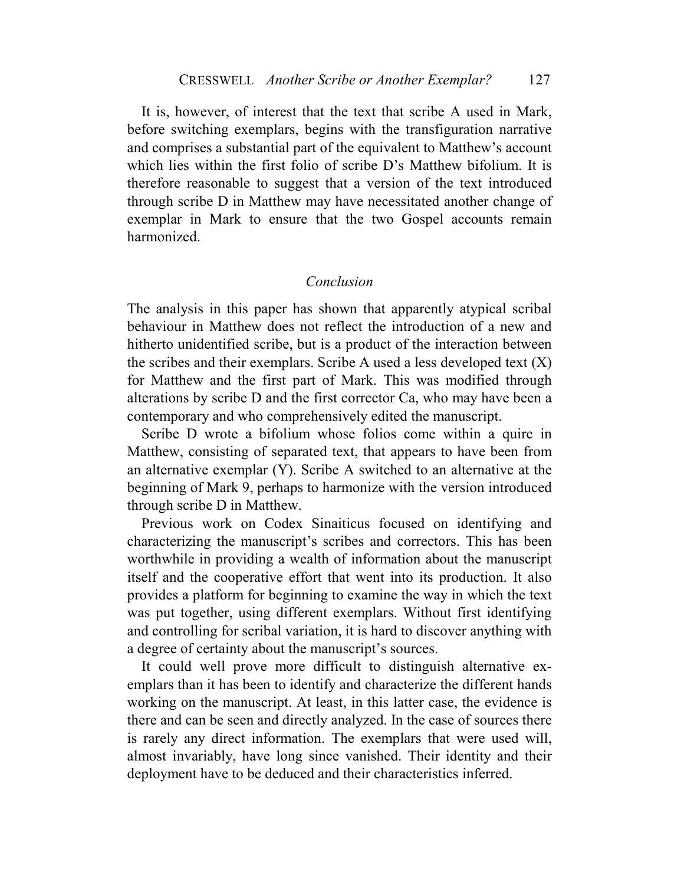It is, however, of interest that the text that scribe A used in Mark, before switching exemplars, begins with the transfiguration narrative and comprises a substantial part of the equivalent to Matthew's account which lies within the first folio of scribe D's Matthew bifolium. It is therefore reasonable to suggest that a version of the text introduced through scribe D in Matthew may have necessitated another change of exemplar in Mark to ensure that the two Gospel accounts remain harmonized.

### *Conclusion*

The analysis in this paper has shown that apparently atypical scribal behaviour in Matthew does not reflect the introduction of a new and hitherto unidentified scribe, but is a product of the interaction between the scribes and their exemplars. Scribe A used a less developed text  $(X)$ for Matthew and the first part of Mark. This was modified through alterations by scribe D and the first corrector Ca, who may have been a contemporary and who comprehensively edited the manuscript.

Scribe D wrote a bifolium whose folios come within a quire in Matthew, consisting of separated text, that appears to have been from an alternative exemplar (Y). Scribe A switched to an alternative at the beginning of Mark 9, perhaps to harmonize with the version introduced through scribe D in Matthew.

Previous work on Codex Sinaiticus focused on identifying and characterizing the manuscript's scribes and correctors. This has been worthwhile in providing a wealth of information about the manuscript itself and the cooperative effort that went into its production. It also provides a platform for beginning to examine the way in which the text was put together, using different exemplars. Without first identifying and controlling for scribal variation, it is hard to discover anything with a degree of certainty about the manuscript's sources.

It could well prove more difficult to distinguish alternative exemplars than it has been to identify and characterize the different hands working on the manuscript. At least, in this latter case, the evidence is there and can be seen and directly analyzed. In the case of sources there is rarely any direct information. The exemplars that were used will, almost invariably, have long since vanished. Their identity and their deployment have to be deduced and their characteristics inferred.